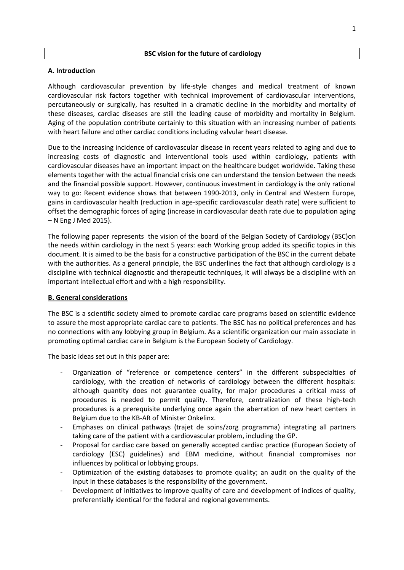### **BSC vision for the future of cardiology**

## **A. Introduction**

Although cardiovascular prevention by life-style changes and medical treatment of known cardiovascular risk factors together with technical improvement of cardiovascular interventions, percutaneously or surgically, has resulted in a dramatic decline in the morbidity and mortality of these diseases, cardiac diseases are still the leading cause of morbidity and mortality in Belgium. Aging of the population contribute certainly to this situation with an increasing number of patients with heart failure and other cardiac conditions including valvular heart disease.

Due to the increasing incidence of cardiovascular disease in recent years related to aging and due to increasing costs of diagnostic and interventional tools used within cardiology, patients with cardiovascular diseases have an important impact on the healthcare budget worldwide. Taking these elements together with the actual financial crisis one can understand the tension between the needs and the financial possible support. However, continuous investment in cardiology is the only rational way to go: Recent evidence shows that between 1990-2013, only in Central and Western Europe, gains in cardiovascular health (reduction in age-specific cardiovascular death rate) were sufficient to offset the demographic forces of aging (increase in cardiovascular death rate due to population aging – N Eng J Med 2015).

The following paper represents the vision of the board of the Belgian Society of Cardiology (BSC)on the needs within cardiology in the next 5 years: each Working group added its specific topics in this document. It is aimed to be the basis for a constructive participation of the BSC in the current debate with the authorities. As a general principle, the BSC underlines the fact that although cardiology is a discipline with technical diagnostic and therapeutic techniques, it will always be a discipline with an important intellectual effort and with a high responsibility.

### **B. General considerations**

The BSC is a scientific society aimed to promote cardiac care programs based on scientific evidence to assure the most appropriate cardiac care to patients. The BSC has no political preferences and has no connections with any lobbying group in Belgium. As a scientific organization our main associate in promoting optimal cardiac care in Belgium is the European Society of Cardiology.

The basic ideas set out in this paper are:

- Organization of "reference or competence centers" in the different subspecialties of cardiology, with the creation of networks of cardiology between the different hospitals: although quantity does not guarantee quality, for major procedures a critical mass of procedures is needed to permit quality. Therefore, centralization of these high-tech procedures is a prerequisite underlying once again the aberration of new heart centers in Belgium due to the KB-AR of Minister Onkelinx.
- Emphases on clinical pathways (trajet de soins/zorg programma) integrating all partners taking care of the patient with a cardiovascular problem, including the GP.
- Proposal for cardiac care based on generally accepted cardiac practice (European Society of cardiology (ESC) guidelines) and EBM medicine, without financial compromises nor influences by political or lobbying groups.
- Optimization of the existing databases to promote quality; an audit on the quality of the input in these databases is the responsibility of the government.
- Development of initiatives to improve quality of care and development of indices of quality, preferentially identical for the federal and regional governments.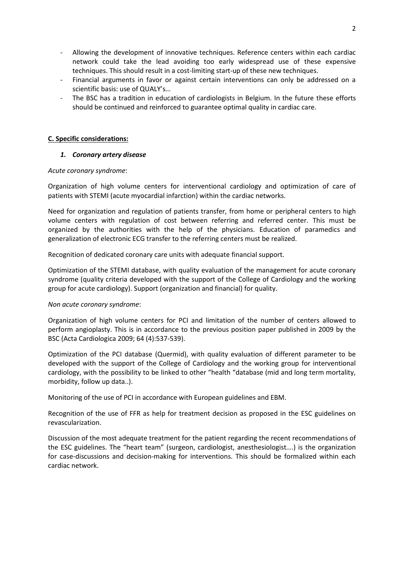- Allowing the development of innovative techniques. Reference centers within each cardiac network could take the lead avoiding too early widespread use of these expensive techniques. This should result in a cost-limiting start-up of these new techniques.
- Financial arguments in favor or against certain interventions can only be addressed on a scientific basis: use of QUALY's…
- The BSC has a tradition in education of cardiologists in Belgium. In the future these efforts should be continued and reinforced to guarantee optimal quality in cardiac care.

### **C. Specific considerations:**

### *1. Coronary artery disease*

#### *Acute coronary syndrome*:

Organization of high volume centers for interventional cardiology and optimization of care of patients with STEMI (acute myocardial infarction) within the cardiac networks.

Need for organization and regulation of patients transfer, from home or peripheral centers to high volume centers with regulation of cost between referring and referred center. This must be organized by the authorities with the help of the physicians. Education of paramedics and generalization of electronic ECG transfer to the referring centers must be realized.

Recognition of dedicated coronary care units with adequate financial support.

Optimization of the STEMI database, with quality evaluation of the management for acute coronary syndrome (quality criteria developed with the support of the College of Cardiology and the working group for acute cardiology). Support (organization and financial) for quality.

#### *Non acute coronary syndrome*:

Organization of high volume centers for PCI and limitation of the number of centers allowed to perform angioplasty. This is in accordance to the previous position paper published in 2009 by the BSC (Acta Cardiologica 2009; 64 (4):537-539).

Optimization of the PCI database (Quermid), with quality evaluation of different parameter to be developed with the support of the College of Cardiology and the working group for interventional cardiology, with the possibility to be linked to other "health "database (mid and long term mortality, morbidity, follow up data..).

Monitoring of the use of PCI in accordance with European guidelines and EBM.

Recognition of the use of FFR as help for treatment decision as proposed in the ESC guidelines on revascularization.

Discussion of the most adequate treatment for the patient regarding the recent recommendations of the ESC guidelines. The "heart team" (surgeon, cardiologist, anesthesiologist….) is the organization for case-discussions and decision-making for interventions. This should be formalized within each cardiac network.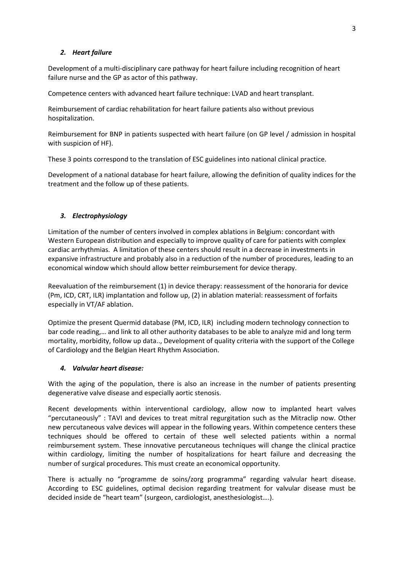# *2. Heart failure*

Development of a multi-disciplinary care pathway for heart failure including recognition of heart failure nurse and the GP as actor of this pathway.

Competence centers with advanced heart failure technique: LVAD and heart transplant.

Reimbursement of cardiac rehabilitation for heart failure patients also without previous hospitalization.

Reimbursement for BNP in patients suspected with heart failure (on GP level / admission in hospital with suspicion of HF).

These 3 points correspond to the translation of ESC guidelines into national clinical practice.

Development of a national database for heart failure, allowing the definition of quality indices for the treatment and the follow up of these patients.

# *3. Electrophysiology*

Limitation of the number of centers involved in complex ablations in Belgium: concordant with Western European distribution and especially to improve quality of care for patients with complex cardiac arrhythmias. A limitation of these centers should result in a decrease in investments in expansive infrastructure and probably also in a reduction of the number of procedures, leading to an economical window which should allow better reimbursement for device therapy.

Reevaluation of the reimbursement (1) in device therapy: reassessment of the honoraria for device (Pm, ICD, CRT, ILR) implantation and follow up, (2) in ablation material: reassessment of forfaits especially in VT/AF ablation.

Optimize the present Quermid database (PM, ICD, ILR) including modern technology connection to bar code reading,… and link to all other authority databases to be able to analyze mid and long term mortality, morbidity, follow up data.., Development of quality criteria with the support of the College of Cardiology and the Belgian Heart Rhythm Association.

### *4. Valvular heart disease:*

With the aging of the population, there is also an increase in the number of patients presenting degenerative valve disease and especially aortic stenosis.

Recent developments within interventional cardiology, allow now to implanted heart valves "percutaneously" : TAVI and devices to treat mitral regurgitation such as the Mitraclip now. Other new percutaneous valve devices will appear in the following years. Within competence centers these techniques should be offered to certain of these well selected patients within a normal reimbursement system. These innovative percutaneous techniques will change the clinical practice within cardiology, limiting the number of hospitalizations for heart failure and decreasing the number of surgical procedures. This must create an economical opportunity.

There is actually no "programme de soins/zorg programma" regarding valvular heart disease. According to ESC guidelines, optimal decision regarding treatment for valvular disease must be decided inside de "heart team" (surgeon, cardiologist, anesthesiologist….).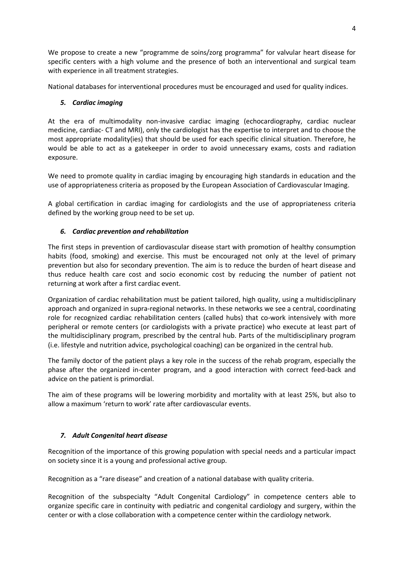We propose to create a new "programme de soins/zorg programma" for valvular heart disease for specific centers with a high volume and the presence of both an interventional and surgical team with experience in all treatment strategies.

National databases for interventional procedures must be encouraged and used for quality indices.

# *5. Cardiac imaging*

At the era of multimodality non-invasive cardiac imaging (echocardiography, cardiac nuclear medicine, cardiac- CT and MRI), only the cardiologist has the expertise to interpret and to choose the most appropriate modality(ies) that should be used for each specific clinical situation. Therefore, he would be able to act as a gatekeeper in order to avoid unnecessary exams, costs and radiation exposure.

We need to promote quality in cardiac imaging by encouraging high standards in education and the use of appropriateness criteria as proposed by the European Association of Cardiovascular Imaging.

A global certification in cardiac imaging for cardiologists and the use of appropriateness criteria defined by the working group need to be set up.

# *6. Cardiac prevention and rehabilitation*

The first steps in prevention of cardiovascular disease start with promotion of healthy consumption habits (food, smoking) and exercise. This must be encouraged not only at the level of primary prevention but also for secondary prevention. The aim is to reduce the burden of heart disease and thus reduce health care cost and socio economic cost by reducing the number of patient not returning at work after a first cardiac event.

Organization of cardiac rehabilitation must be patient tailored, high quality, using a multidisciplinary approach and organized in supra-regional networks. In these networks we see a central, coordinating role for recognized cardiac rehabilitation centers (called hubs) that co-work intensively with more peripheral or remote centers (or cardiologists with a private practice) who execute at least part of the multidisciplinary program, prescribed by the central hub. Parts of the multidisciplinary program (i.e. lifestyle and nutrition advice, psychological coaching) can be organized in the central hub.

The family doctor of the patient plays a key role in the success of the rehab program, especially the phase after the organized in-center program, and a good interaction with correct feed-back and advice on the patient is primordial.

The aim of these programs will be lowering morbidity and mortality with at least 25%, but also to allow a maximum 'return to work' rate after cardiovascular events.

# *7. Adult Congenital heart disease*

Recognition of the importance of this growing population with special needs and a particular impact on society since it is a young and professional active group.

Recognition as a "rare disease" and creation of a national database with quality criteria.

Recognition of the subspecialty "Adult Congenital Cardiology" in competence centers able to organize specific care in continuity with pediatric and congenital cardiology and surgery, within the center or with a close collaboration with a competence center within the cardiology network.